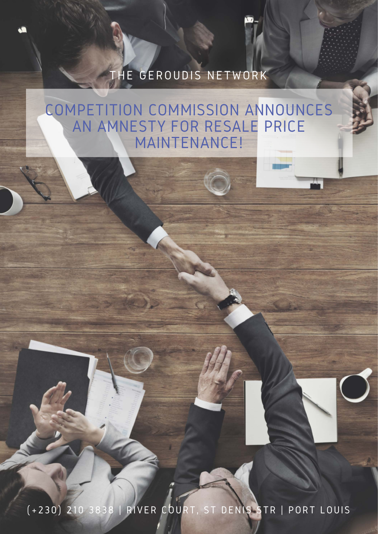### COMPETITION COMMISSION ANNOUNCES AN AMNESTY FOR RESALE PRICE MAINTENANCE!

## THE GEROUDIS NETWORK

**CO** 

# (+230) 210 3838 | RIVER COURT, ST DENIS STR | PORT LOUIS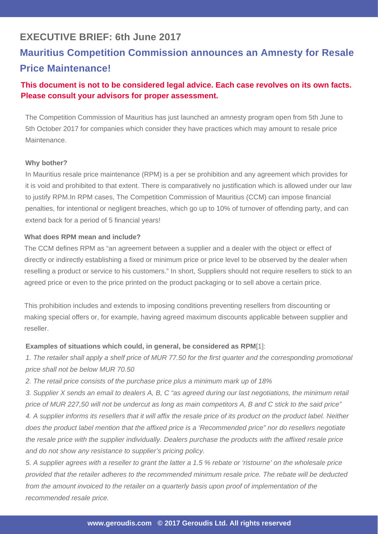### **EXECUTIVE BRIEF: 6th June 2017**

### **Mauritius Competition Commission announces an Amnesty for Resale Price Maintenance!**

#### **This document is not to be considered legal advice. Each case revolves on its own facts. Please consult your advisors for proper assessment.**

The Competition Commission of Mauritius has just launched an amnesty program open from 5th June to 5th October 2017 for companies which consider they have practices which may amount to resale price Maintenance.

#### **Why bother?**

In Mauritius resale price maintenance (RPM) is a per se prohibition and any agreement which provides for it is void and prohibited to that extent. There is comparatively no justification which is allowed under our law to justify RPM.In RPM cases, The Competition Commission of Mauritius (CCM) can impose financial penalties, for intentional or negligent breaches, which go up to 10% of turnover of offending party, and can extend back for a period of 5 financial years!

*1. The retailer shall apply a shelf price of MUR 77.50 for the first quarter and the corresponding promotional price shall not be below MUR 70.50* 

#### **What does RPM mean and include?**

The CCM defines RPM as "an agreement between a supplier and a dealer with the object or effect of directly or indirectly establishing a fixed or minimum price or price level to be observed by the dealer when reselling a product or service to his customers." In short, Suppliers should not require resellers to stick to an agreed price or even to the price printed on the product packaging or to sell above a certain price.

This prohibition includes and extends to imposing conditions preventing resellers from discounting or making special offers or, for example, having agreed maximum discounts applicable between supplier and reseller.

#### **Examples of situations which could, in general, be considered as RPM**[1]:

*2. The retail price consists of the purchase price plus a minimum mark up of 18%* 

*3. Supplier X sends an email to dealers A, B, C "as agreed during our last negotiations, the minimum retail price of MUR 227,50 will not be undercut as long as main competitors A, B and C stick to the said price" 4. A supplier informs its resellers that it will affix the resale price of its product on the product label. Neither*  does the product label mention that the affixed price is a 'Recommended price" nor do resellers negotiate *the resale price with the supplier individually. Dealers purchase the products with the affixed resale price and do not show any resistance to supplier's pricing policy.* 

*5. A supplier agrees with a reseller to grant the latter a 1.5 % rebate or 'ristourne' on the wholesale price provided that the retailer adheres to the recommended minimum resale price. The rebate will be deducted*  from the amount invoiced to the retailer on a quarterly basis upon proof of implementation of the *recommended resale price.*